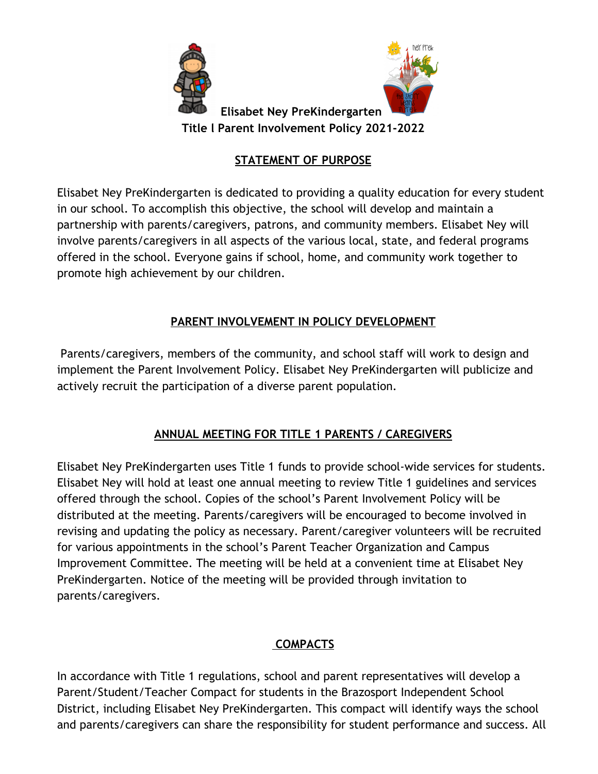

## **STATEMENT OF PURPOSE**

Elisabet Ney PreKindergarten is dedicated to providing a quality education for every student in our school. To accomplish this objective, the school will develop and maintain a partnership with parents/caregivers, patrons, and community members. Elisabet Ney will involve parents/caregivers in all aspects of the various local, state, and federal programs offered in the school. Everyone gains if school, home, and community work together to promote high achievement by our children.

## **PARENT INVOLVEMENT IN POLICY DEVELOPMENT**

Parents/caregivers, members of the community, and school staff will work to design and implement the Parent Involvement Policy. Elisabet Ney PreKindergarten will publicize and actively recruit the participation of a diverse parent population.

# **ANNUAL MEETING FOR TITLE 1 PARENTS / CAREGIVERS**

Elisabet Ney PreKindergarten uses Title 1 funds to provide school-wide services for students. Elisabet Ney will hold at least one annual meeting to review Title 1 guidelines and services offered through the school. Copies of the school's Parent Involvement Policy will be distributed at the meeting. Parents/caregivers will be encouraged to become involved in revising and updating the policy as necessary. Parent/caregiver volunteers will be recruited for various appointments in the school's Parent Teacher Organization and Campus Improvement Committee. The meeting will be held at a convenient time at Elisabet Ney PreKindergarten. Notice of the meeting will be provided through invitation to parents/caregivers.

## **COMPACTS**

In accordance with Title 1 regulations, school and parent representatives will develop a Parent/Student/Teacher Compact for students in the Brazosport Independent School District, including Elisabet Ney PreKindergarten. This compact will identify ways the school and parents/caregivers can share the responsibility for student performance and success. All